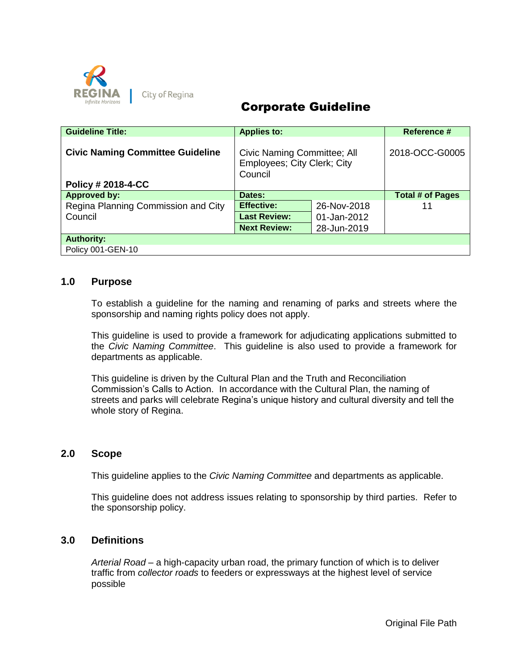

# Corporate Guideline

| <b>Guideline Title:</b>                 | <b>Applies to:</b>                                                    |             | Reference #      |
|-----------------------------------------|-----------------------------------------------------------------------|-------------|------------------|
| <b>Civic Naming Committee Guideline</b> | Civic Naming Committee; All<br>Employees; City Clerk; City<br>Council |             | 2018-OCC-G0005   |
| <b>Policy # 2018-4-CC</b>               |                                                                       |             |                  |
| <b>Approved by:</b>                     | Dates:                                                                |             | Total # of Pages |
| Regina Planning Commission and City     | <b>Effective:</b>                                                     | 26-Nov-2018 |                  |
| Council                                 | <b>Last Review:</b>                                                   | 01-Jan-2012 |                  |
|                                         | <b>Next Review:</b>                                                   | 28-Jun-2019 |                  |
| <b>Authority:</b>                       |                                                                       |             |                  |
| Policy 001-GEN-10                       |                                                                       |             |                  |

# **1.0 Purpose**

To establish a guideline for the naming and renaming of parks and streets where the sponsorship and naming rights policy does not apply.

This guideline is used to provide a framework for adjudicating applications submitted to the *Civic Naming Committee*. This guideline is also used to provide a framework for departments as applicable.

This guideline is driven by the Cultural Plan and the Truth and Reconciliation Commission's Calls to Action. In accordance with the Cultural Plan, the naming of streets and parks will celebrate Regina's unique history and cultural diversity and tell the whole story of Regina.

#### **2.0 Scope**

This guideline applies to the *Civic Naming Committee* and departments as applicable.

This guideline does not address issues relating to sponsorship by third parties. Refer to the sponsorship policy.

# **3.0 Definitions**

*Arterial Road* – a high-capacity urban road, the primary function of which is to deliver traffic from *collector roads* to feeders or expressways at the highest level of service possible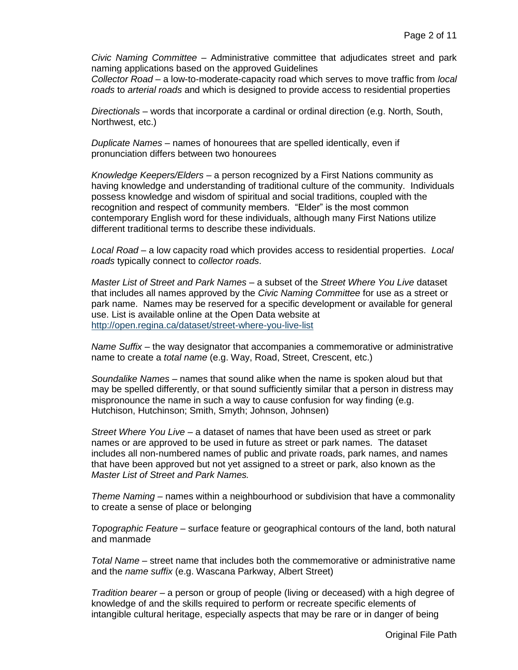*Civic Naming Committee* – Administrative committee that adjudicates street and park naming applications based on the approved Guidelines

*Collector Road* – a low-to-moderate-capacity road which serves to move traffic from *local roads* to *arterial roads* and which is designed to provide access to residential properties

*Directionals* – words that incorporate a cardinal or ordinal direction (e.g. North, South, Northwest, etc.)

*Duplicate Names* – names of honourees that are spelled identically, even if pronunciation differs between two honourees

*Knowledge Keepers/Elders –* a person recognized by a First Nations community as having knowledge and understanding of traditional culture of the community. Individuals possess knowledge and wisdom of spiritual and social traditions, coupled with the recognition and respect of community members. "Elder" is the most common contemporary English word for these individuals, although many First Nations utilize different traditional terms to describe these individuals.

*Local Road* – a low capacity road which provides access to residential properties. *Local roads* typically connect to *collector roads*.

*Master List of Street and Park Names –* a subset of the *Street Where You Live* dataset that includes all names approved by the *Civic Naming Committee* for use as a street or park name. Names may be reserved for a specific development or available for general use. List is available online at the Open Data website at <http://open.regina.ca/dataset/street-where-you-live-list>

*Name Suffix* – the way designator that accompanies a commemorative or administrative name to create a *total name* (e.g. Way, Road, Street, Crescent, etc.)

*Soundalike Names* – names that sound alike when the name is spoken aloud but that may be spelled differently, or that sound sufficiently similar that a person in distress may mispronounce the name in such a way to cause confusion for way finding (e.g. Hutchison, Hutchinson; Smith, Smyth; Johnson, Johnsen)

*Street Where You Live* – a dataset of names that have been used as street or park names or are approved to be used in future as street or park names. The dataset includes all non-numbered names of public and private roads, park names, and names that have been approved but not yet assigned to a street or park, also known as the *Master List of Street and Park Names.*

*Theme Naming* – names within a neighbourhood or subdivision that have a commonality to create a sense of place or belonging

*Topographic Feature* – surface feature or geographical contours of the land, both natural and manmade

*Total Name* – street name that includes both the commemorative or administrative name and the *name suffix* (e.g. Wascana Parkway, Albert Street)

*Tradition bearer* – a person or group of people (living or deceased) with a high degree of knowledge of and the skills required to perform or recreate specific elements of intangible cultural heritage, especially aspects that may be rare or in danger of being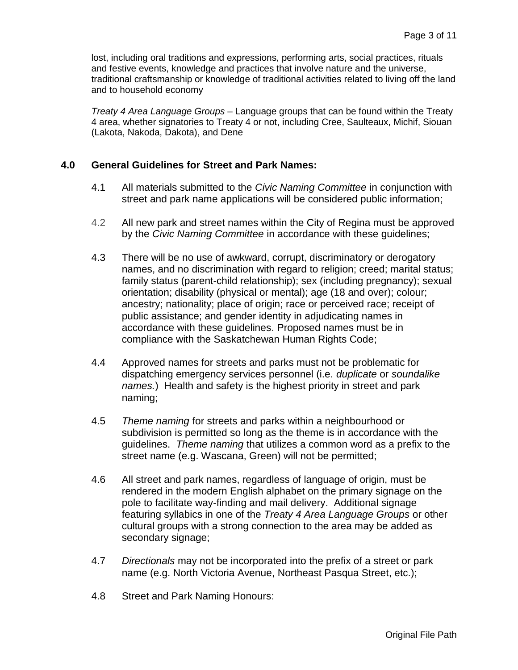lost, including oral traditions and expressions, performing arts, social practices, rituals and festive events, knowledge and practices that involve nature and the universe, traditional craftsmanship or knowledge of traditional activities related to living off the land and to household economy

*Treaty 4 Area Language Groups* – Language groups that can be found within the Treaty 4 area, whether signatories to Treaty 4 or not, including Cree, Saulteaux, Michif, Siouan (Lakota, Nakoda, Dakota), and Dene

# **4.0 General Guidelines for Street and Park Names:**

- 4.1 All materials submitted to the *Civic Naming Committee* in conjunction with street and park name applications will be considered public information;
- 4.2 All new park and street names within the City of Regina must be approved by the *Civic Naming Committee* in accordance with these guidelines;
- 4.3 There will be no use of awkward, corrupt, discriminatory or derogatory names, and no discrimination with regard to religion; creed; marital status; family status (parent-child relationship); sex (including pregnancy); sexual orientation; disability (physical or mental); age (18 and over); colour; ancestry; nationality; place of origin; race or perceived race; receipt of public assistance; and gender identity in adjudicating names in accordance with these guidelines. Proposed names must be in compliance with the Saskatchewan Human Rights Code;
- 4.4 Approved names for streets and parks must not be problematic for dispatching emergency services personnel (i.e. *duplicate* or *soundalike names.*) Health and safety is the highest priority in street and park naming;
- 4.5 *Theme naming* for streets and parks within a neighbourhood or subdivision is permitted so long as the theme is in accordance with the guidelines. *Theme naming* that utilizes a common word as a prefix to the street name (e.g. Wascana, Green) will not be permitted;
- 4.6 All street and park names, regardless of language of origin, must be rendered in the modern English alphabet on the primary signage on the pole to facilitate way-finding and mail delivery. Additional signage featuring syllabics in one of the *Treaty 4 Area Language Groups* or other cultural groups with a strong connection to the area may be added as secondary signage;
- 4.7 *Directionals* may not be incorporated into the prefix of a street or park name (e.g. North Victoria Avenue, Northeast Pasqua Street, etc.);
- 4.8 Street and Park Naming Honours: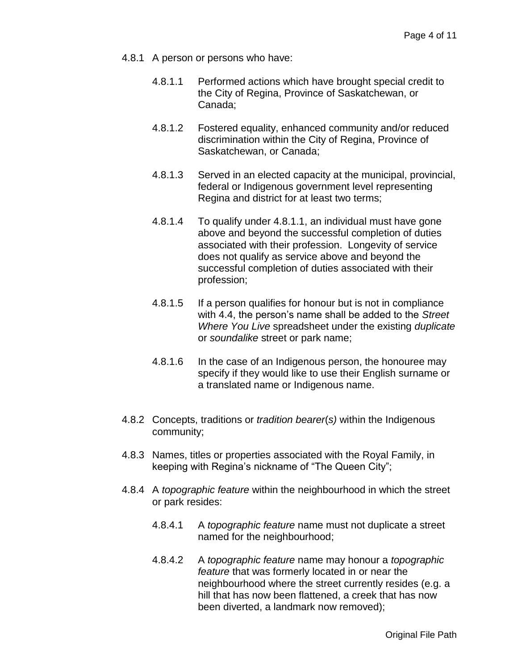- 4.8.1 A person or persons who have:
	- 4.8.1.1 Performed actions which have brought special credit to the City of Regina, Province of Saskatchewan, or Canada;
	- 4.8.1.2 Fostered equality, enhanced community and/or reduced discrimination within the City of Regina, Province of Saskatchewan, or Canada;
	- 4.8.1.3 Served in an elected capacity at the municipal, provincial, federal or Indigenous government level representing Regina and district for at least two terms;
	- 4.8.1.4 To qualify under 4.8.1.1, an individual must have gone above and beyond the successful completion of duties associated with their profession. Longevity of service does not qualify as service above and beyond the successful completion of duties associated with their profession;
	- 4.8.1.5 If a person qualifies for honour but is not in compliance with 4.4, the person's name shall be added to the *Street Where You Live* spreadsheet under the existing *duplicate*  or *soundalike* street or park name;
	- 4.8.1.6 In the case of an Indigenous person, the honouree may specify if they would like to use their English surname or a translated name or Indigenous name.
- 4.8.2 Concepts, traditions or *tradition bearer*(*s)* within the Indigenous community;
- 4.8.3 Names, titles or properties associated with the Royal Family, in keeping with Regina's nickname of "The Queen City";
- 4.8.4 A *topographic feature* within the neighbourhood in which the street or park resides:
	- 4.8.4.1 A *topographic feature* name must not duplicate a street named for the neighbourhood;
	- 4.8.4.2 A *topographic feature* name may honour a *topographic feature* that was formerly located in or near the neighbourhood where the street currently resides (e.g. a hill that has now been flattened, a creek that has now been diverted, a landmark now removed);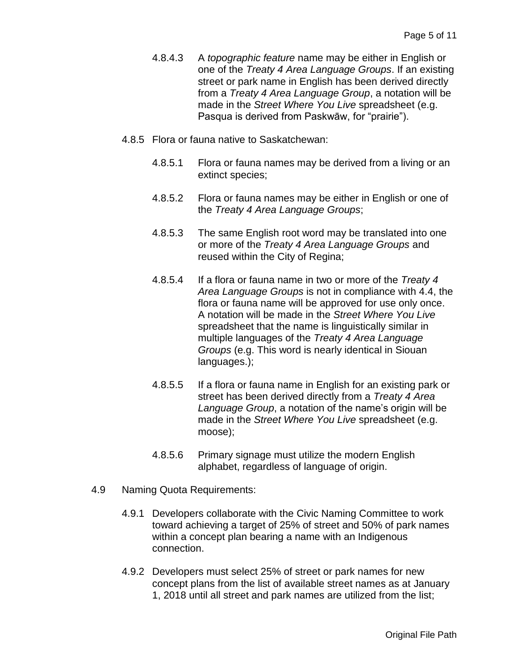- 4.8.4.3 A *topographic feature* name may be either in English or one of the *Treaty 4 Area Language Groups*. If an existing street or park name in English has been derived directly from a *Treaty 4 Area Language Group*, a notation will be made in the *Street Where You Live* spreadsheet (e.g. Pasqua is derived from Paskwāw, for "prairie").
- 4.8.5 Flora or fauna native to Saskatchewan:
	- 4.8.5.1 Flora or fauna names may be derived from a living or an extinct species;
	- 4.8.5.2 Flora or fauna names may be either in English or one of the *Treaty 4 Area Language Groups*;
	- 4.8.5.3 The same English root word may be translated into one or more of the *Treaty 4 Area Language Groups* and reused within the City of Regina;
	- 4.8.5.4 If a flora or fauna name in two or more of the *Treaty 4 Area Language Groups* is not in compliance with 4.4, the flora or fauna name will be approved for use only once. A notation will be made in the *Street Where You Live* spreadsheet that the name is linguistically similar in multiple languages of the *Treaty 4 Area Language Groups* (e.g. This word is nearly identical in Siouan languages.);
	- 4.8.5.5 If a flora or fauna name in English for an existing park or street has been derived directly from a *Treaty 4 Area Language Group*, a notation of the name's origin will be made in the *Street Where You Live* spreadsheet (e.g. moose);
	- 4.8.5.6 Primary signage must utilize the modern English alphabet, regardless of language of origin.
- 4.9 Naming Quota Requirements:
	- 4.9.1 Developers collaborate with the Civic Naming Committee to work toward achieving a target of 25% of street and 50% of park names within a concept plan bearing a name with an Indigenous connection.
	- 4.9.2 Developers must select 25% of street or park names for new concept plans from the list of available street names as at January 1, 2018 until all street and park names are utilized from the list;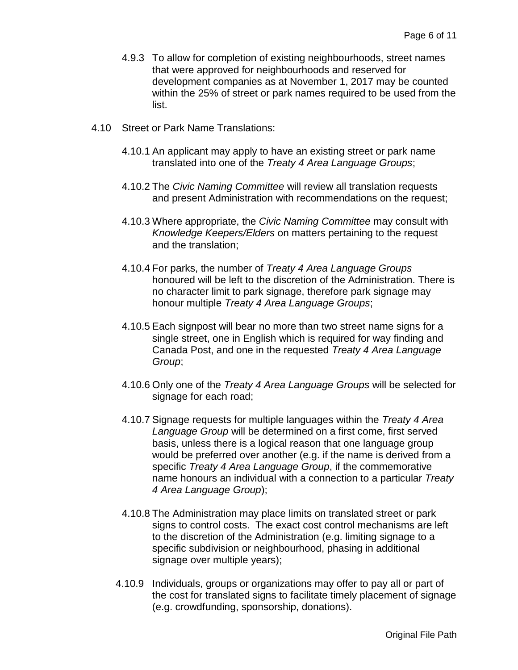- 4.9.3 To allow for completion of existing neighbourhoods, street names that were approved for neighbourhoods and reserved for development companies as at November 1, 2017 may be counted within the 25% of street or park names required to be used from the list.
- 4.10 Street or Park Name Translations:
	- 4.10.1 An applicant may apply to have an existing street or park name translated into one of the *Treaty 4 Area Language Groups*;
	- 4.10.2 The *Civic Naming Committee* will review all translation requests and present Administration with recommendations on the request;
	- 4.10.3 Where appropriate, the *Civic Naming Committee* may consult with *Knowledge Keepers/Elders* on matters pertaining to the request and the translation;
	- 4.10.4 For parks, the number of *Treaty 4 Area Language Groups* honoured will be left to the discretion of the Administration. There is no character limit to park signage, therefore park signage may honour multiple *Treaty 4 Area Language Groups*;
	- 4.10.5 Each signpost will bear no more than two street name signs for a single street, one in English which is required for way finding and Canada Post, and one in the requested *Treaty 4 Area Language Group*;
	- 4.10.6 Only one of the *Treaty 4 Area Language Groups* will be selected for signage for each road;
	- 4.10.7 Signage requests for multiple languages within the *Treaty 4 Area Language Group* will be determined on a first come, first served basis, unless there is a logical reason that one language group would be preferred over another (e.g. if the name is derived from a specific *Treaty 4 Area Language Group*, if the commemorative name honours an individual with a connection to a particular *Treaty 4 Area Language Group*);
	- 4.10.8 The Administration may place limits on translated street or park signs to control costs. The exact cost control mechanisms are left to the discretion of the Administration (e.g. limiting signage to a specific subdivision or neighbourhood, phasing in additional signage over multiple years);
	- 4.10.9 Individuals, groups or organizations may offer to pay all or part of the cost for translated signs to facilitate timely placement of signage (e.g. crowdfunding, sponsorship, donations).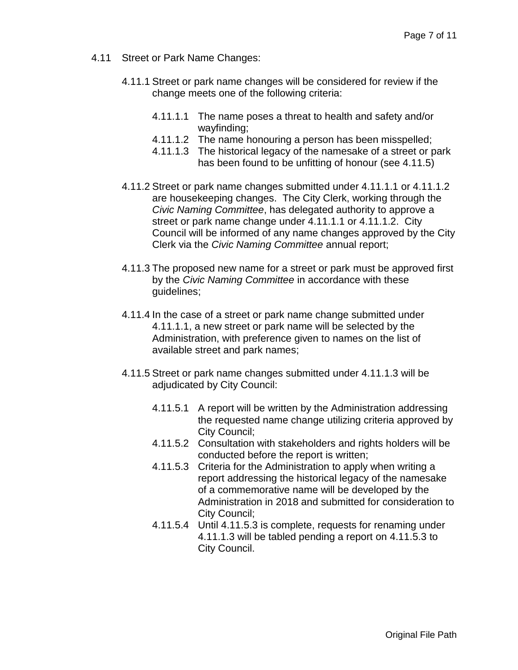- 4.11 Street or Park Name Changes:
	- 4.11.1 Street or park name changes will be considered for review if the change meets one of the following criteria:
		- 4.11.1.1 The name poses a threat to health and safety and/or wayfinding;
		- 4.11.1.2 The name honouring a person has been misspelled;
		- 4.11.1.3 The historical legacy of the namesake of a street or park has been found to be unfitting of honour (see 4.11.5)
	- 4.11.2 Street or park name changes submitted under 4.11.1.1 or 4.11.1.2 are housekeeping changes. The City Clerk, working through the *Civic Naming Committee*, has delegated authority to approve a street or park name change under 4.11.1.1 or 4.11.1.2. City Council will be informed of any name changes approved by the City Clerk via the *Civic Naming Committee* annual report;
	- 4.11.3 The proposed new name for a street or park must be approved first by the *Civic Naming Committee* in accordance with these guidelines;
	- 4.11.4 In the case of a street or park name change submitted under 4.11.1.1, a new street or park name will be selected by the Administration, with preference given to names on the list of available street and park names;
	- 4.11.5 Street or park name changes submitted under 4.11.1.3 will be adjudicated by City Council:
		- 4.11.5.1 A report will be written by the Administration addressing the requested name change utilizing criteria approved by City Council;
		- 4.11.5.2 Consultation with stakeholders and rights holders will be conducted before the report is written;
		- 4.11.5.3 Criteria for the Administration to apply when writing a report addressing the historical legacy of the namesake of a commemorative name will be developed by the Administration in 2018 and submitted for consideration to City Council;
		- 4.11.5.4 Until 4.11.5.3 is complete, requests for renaming under 4.11.1.3 will be tabled pending a report on 4.11.5.3 to City Council.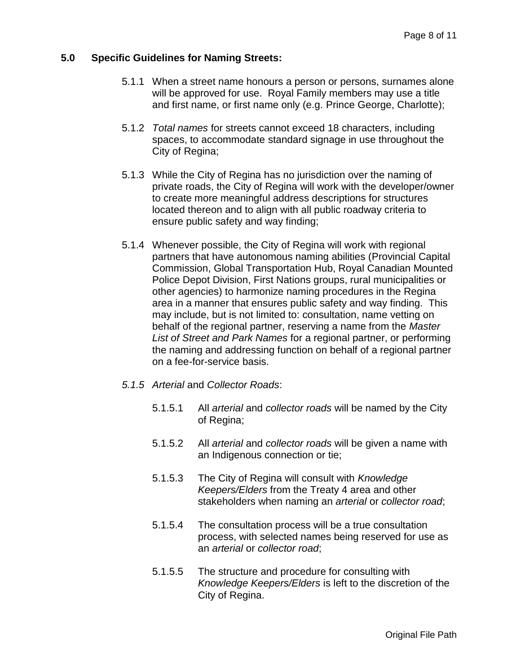# **5.0 Specific Guidelines for Naming Streets:**

- 5.1.1 When a street name honours a person or persons, surnames alone will be approved for use. Royal Family members may use a title and first name, or first name only (e.g. Prince George, Charlotte);
- 5.1.2 *Total names* for streets cannot exceed 18 characters, including spaces, to accommodate standard signage in use throughout the City of Regina;
- 5.1.3 While the City of Regina has no jurisdiction over the naming of private roads, the City of Regina will work with the developer/owner to create more meaningful address descriptions for structures located thereon and to align with all public roadway criteria to ensure public safety and way finding;
- 5.1.4 Whenever possible, the City of Regina will work with regional partners that have autonomous naming abilities (Provincial Capital Commission, Global Transportation Hub, Royal Canadian Mounted Police Depot Division, First Nations groups, rural municipalities or other agencies) to harmonize naming procedures in the Regina area in a manner that ensures public safety and way finding. This may include, but is not limited to: consultation, name vetting on behalf of the regional partner, reserving a name from the *Master List of Street and Park Names* for a regional partner, or performing the naming and addressing function on behalf of a regional partner on a fee-for-service basis.
- *5.1.5 Arterial* and *Collector Roads*:
	- 5.1.5.1 All *arterial* and *collector roads* will be named by the City of Regina;
	- 5.1.5.2 All *arterial* and *collector roads* will be given a name with an Indigenous connection or tie;
	- 5.1.5.3 The City of Regina will consult with *Knowledge Keepers/Elders* from the Treaty 4 area and other stakeholders when naming an *arterial* or *collector road*;
	- 5.1.5.4 The consultation process will be a true consultation process, with selected names being reserved for use as an *arterial* or *collector road*;
	- 5.1.5.5 The structure and procedure for consulting with *Knowledge Keepers/Elders* is left to the discretion of the City of Regina.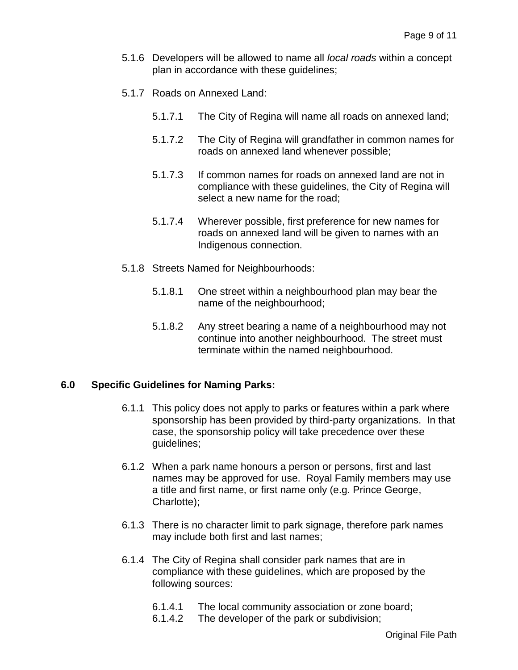- 5.1.6 Developers will be allowed to name all *local roads* within a concept plan in accordance with these guidelines;
- 5.1.7 Roads on Annexed Land:
	- 5.1.7.1 The City of Regina will name all roads on annexed land;
	- 5.1.7.2 The City of Regina will grandfather in common names for roads on annexed land whenever possible;
	- 5.1.7.3 If common names for roads on annexed land are not in compliance with these guidelines, the City of Regina will select a new name for the road;
	- 5.1.7.4 Wherever possible, first preference for new names for roads on annexed land will be given to names with an Indigenous connection.
- 5.1.8 Streets Named for Neighbourhoods:
	- 5.1.8.1 One street within a neighbourhood plan may bear the name of the neighbourhood;
	- 5.1.8.2 Any street bearing a name of a neighbourhood may not continue into another neighbourhood. The street must terminate within the named neighbourhood.

#### **6.0 Specific Guidelines for Naming Parks:**

- 6.1.1 This policy does not apply to parks or features within a park where sponsorship has been provided by third-party organizations. In that case, the sponsorship policy will take precedence over these guidelines;
- 6.1.2 When a park name honours a person or persons, first and last names may be approved for use. Royal Family members may use a title and first name, or first name only (e.g. Prince George, Charlotte);
- 6.1.3 There is no character limit to park signage, therefore park names may include both first and last names;
- 6.1.4 The City of Regina shall consider park names that are in compliance with these guidelines, which are proposed by the following sources:
	- 6.1.4.1 The local community association or zone board;
	- 6.1.4.2 The developer of the park or subdivision;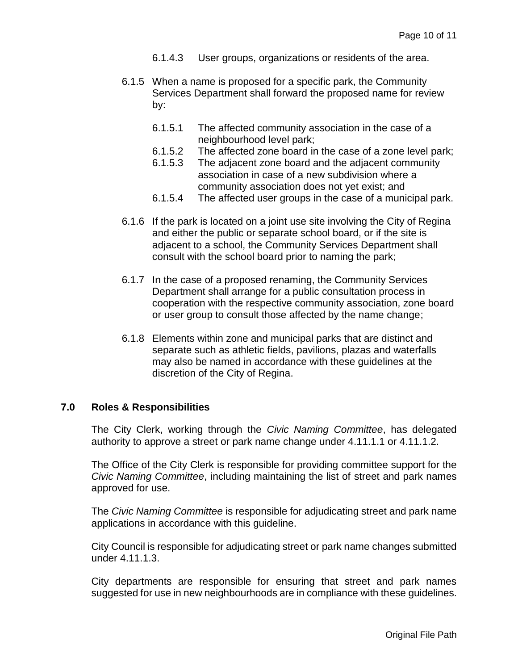- 6.1.4.3 User groups, organizations or residents of the area.
- 6.1.5 When a name is proposed for a specific park, the Community Services Department shall forward the proposed name for review by:
	- 6.1.5.1 The affected community association in the case of a neighbourhood level park;
	- 6.1.5.2 The affected zone board in the case of a zone level park;
	- 6.1.5.3 The adjacent zone board and the adjacent community association in case of a new subdivision where a community association does not yet exist; and
	- 6.1.5.4 The affected user groups in the case of a municipal park.
- 6.1.6 If the park is located on a joint use site involving the City of Regina and either the public or separate school board, or if the site is adjacent to a school, the Community Services Department shall consult with the school board prior to naming the park;
- 6.1.7 In the case of a proposed renaming, the Community Services Department shall arrange for a public consultation process in cooperation with the respective community association, zone board or user group to consult those affected by the name change;
- 6.1.8 Elements within zone and municipal parks that are distinct and separate such as athletic fields, pavilions, plazas and waterfalls may also be named in accordance with these guidelines at the discretion of the City of Regina.

# **7.0 Roles & Responsibilities**

The City Clerk, working through the *Civic Naming Committee*, has delegated authority to approve a street or park name change under 4.11.1.1 or 4.11.1.2.

The Office of the City Clerk is responsible for providing committee support for the *Civic Naming Committee*, including maintaining the list of street and park names approved for use.

The *Civic Naming Committee* is responsible for adjudicating street and park name applications in accordance with this guideline.

City Council is responsible for adjudicating street or park name changes submitted under 4.11.1.3.

City departments are responsible for ensuring that street and park names suggested for use in new neighbourhoods are in compliance with these guidelines.